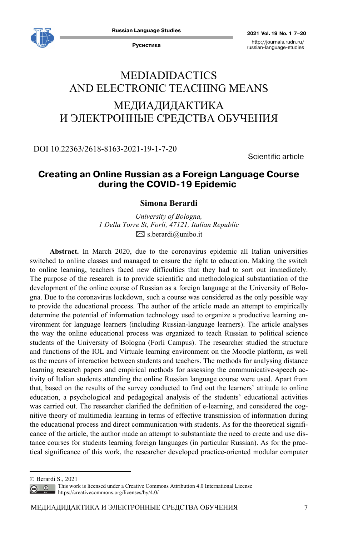

**Русистика** http://journals.rudn.ru/ russian-language-studies

# MEDIADIDACTICS AND ELECTRONIC TEACHING MEANS МЕДИАДИДАКТИКА И ЭЛЕКТРОННЫЕ СРЕДСТВА ОБУЧЕНИЯ

DOI 10.22363/2618-8163-2021-19-1-7-20

Scientific article

# **Creating an Online Russian as a Foreign Language Course**  during the **COVID**-19 Epidemic

## **Simona Berardi**

*University of Bologna, 1 Della Torre St, Forli, 47121, Italian Republic*   $\boxtimes$  s.berardi@unibo.it

**Abstract.** In March 2020, due to the coronavirus epidemic all Italian universities switched to online classes and managed to ensure the right to education. Making the switch to online learning, teachers faced new difficulties that they had to sort out immediately. The purpose of the research is to provide scientific and methodological substantiation of the development of the online course of Russian as a foreign language at the University of Bologna. Due to the coronavirus lockdown, such a course was considered as the only possible way to provide the educational process. The author of the article made an attempt to empirically determine the potential of information technology used to organize a productive learning environment for language learners (including Russian-language learners). The article analyses the way the online educational process was organized to teach Russian to political science students of the University of Bologna (Forlì Campus). The researcher studied the structure and functions of the IOL and Virtuale learning environment on the Moodle platform, as well as the means of interaction between students and teachers. The methods for analysing distance learning research papers and empirical methods for assessing the communicative-speech activity of Italian students attending the online Russian language course were used. Apart from that, based on the results of the survey conducted to find out the learners' attitude to online education, a psychological and pedagogical analysis of the students' educational activities was carried out. The researcher clarified the definition of e-learning, and considered the cognitive theory of multimedia learning in terms of effective transmission of information during the educational process and direct communication with students. As for the theoretical significance of the article, the author made an attempt to substantiate the need to create and use distance courses for students learning foreign languages (in particular Russian). As for the practical significance of this work, the researcher developed practice-oriented modular computer

© Berardi S., 2021

This work is licensed under a Creative Commons Attribution 4.0 International License  $\odot$ https://creativecommons.org/licenses/by/4.0/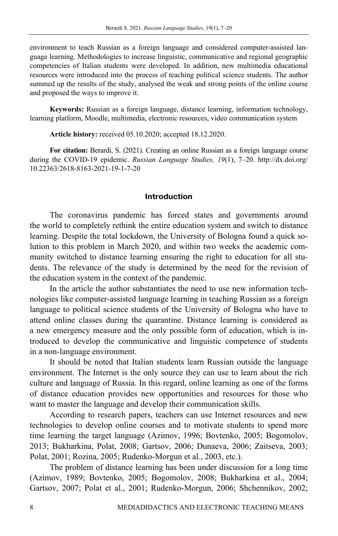environment to teach Russian as a foreign language and considered computer-assisted language learning. Methodologies to increase linguistic, communicative and regional geographic competencies of Italian students were developed. In addition, new multimedia educational resources were introduced into the process of teaching political science students. The author summed up the results of the study, analysed the weak and strong points of the online course and proposed the ways to improve it.

**Keywords:** Russian as a foreign language, distance learning, information technology, learning platform, Moodle, multimedia, electronic resources, video communication system

**Article history:** received 05.10.2020; accepted 18.12.2020.

**For citation:** Berardi, S. (2021). Creating an online Russian as a foreign language course during the COVID-19 epidemic. *Russian Language Studies, 19*(1), 7–20. http://dx.doi.org/ 10.22363/2618-8163-2021-19-1-7-20

### **Introduction**

The coronavirus pandemic has forced states and governments around the world to completely rethink the entire education system and switch to distance learning. Despite the total lockdown, the University of Bologna found a quick solution to this problem in March 2020, and within two weeks the academic community switched to distance learning ensuring the right to education for all students. The relevance of the study is determined by the need for the revision of the education system in the context of the pandemic.

In the article the author substantiates the need to use new information technologies like computer-assisted language learning in teaching Russian as a foreign language to political science students of the University of Bologna who have to attend online classes during the quarantine. Distance learning is considered as a new emergency measure and the only possible form of education, which is introduced to develop the communicative and linguistic competence of students in a non-language environment.

It should be noted that Italian students learn Russian outside the language environment. The Internet is the only source they can use to learn about the rich culture and language of Russia. In this regard, online learning as one of the forms of distance education provides new opportunities and resources for those who want to master the language and develop their communication skills.

According to research papers, teachers can use Internet resources and new technologies to develop online courses and to motivate students to spend more time learning the target language (Azimov, 1996; Bovtenko, 2005; Bogomolov, 2013; Bukharkina, Polat, 2008; Gartsov, 2006; Dunaeva, 2006; Zaitseva, 2003; Polat, 2001; Rozina, 2005; Rudenko-Morgun et al., 2003, etc.).

The problem of distance learning has been under discussion for a long time (Azimov, 1989; Bovtenko, 2005; Bogomolov, 2008; Bukharkina et al., 2004; Gartsov, 2007; Polat et al., 2001; Rudenko-Morgun, 2006; Shchennikov, 2002;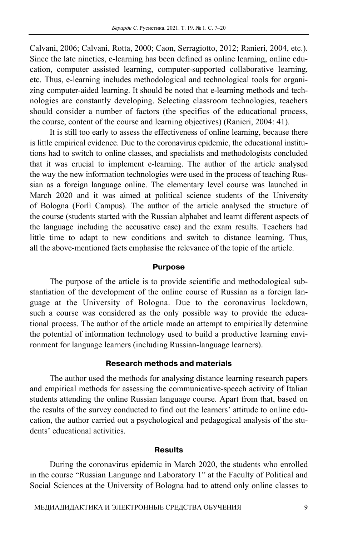Calvani, 2006; Calvani, Rotta, 2000; Caon, Serragiotto, 2012; Ranieri, 2004, etc.). Since the late nineties, e-learning has been defined as online learning, online education, computer assisted learning, computer-supported collaborative learning, etc. Thus, e-learning includes methodological and technological tools for organizing computer-aided learning. It should be noted that e-learning methods and technologies are constantly developing. Selecting classroom technologies, teachers should consider a number of factors (the specifics of the educational process, the course, content of the course and learning objectives) (Ranieri, 2004: 41).

It is still too early to assess the effectiveness of online learning, because there is little empirical evidence. Due to the coronavirus epidemic, the educational institutions had to switch to online classes, and specialists and methodologists concluded that it was crucial to implement e-learning. The author of the article analysed the way the new information technologies were used in the process of teaching Russian as a foreign language online. The elementary level course was launched in March 2020 and it was aimed at political science students of the University of Bologna (Forlì Campus). The author of the article analysed the structure of the course (students started with the Russian alphabet and learnt different aspects of the language including the accusative case) and the exam results. Teachers had little time to adapt to new conditions and switch to distance learning. Thus, all the above-mentioned facts emphasise the relevance of the topic of the article.

#### **Purpose**

The purpose of the article is to provide scientific and methodological substantiation of the development of the online course of Russian as a foreign language at the University of Bologna. Due to the coronavirus lockdown, such a course was considered as the only possible way to provide the educational process. The author of the article made an attempt to empirically determine the potential of information technology used to build a productive learning environment for language learners (including Russian-language learners).

# **Research methods and materials**

The author used the methods for analysing distance learning research papers and empirical methods for assessing the communicative-speech activity of Italian students attending the online Russian language course. Apart from that, based on the results of the survey conducted to find out the learners' attitude to online education, the author carried out a psychological and pedagogical analysis of the students' educational activities.

#### **Results**

During the coronavirus epidemic in March 2020, the students who enrolled in the course "Russian Language and Laboratory 1" at the Faculty of Political and Social Sciences at the University of Bologna had to attend only online classes to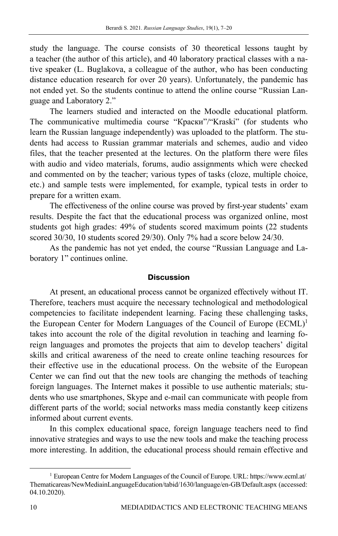study the language. The course consists of 30 theoretical lessons taught by a teacher (the author of this article), and 40 laboratory practical classes with a native speaker (L. Buglakova, a colleague of the author, who has been conducting distance education research for over 20 years). Unfortunately, the pandemic has not ended yet. So the students continue to attend the online course "Russian Language and Laboratory 2."

The learners studied and interacted on the Moodle educational platform. The communicative multimedia course "Краски"/"Kraski" (for students who learn the Russian language independently) was uploaded to the platform. The students had access to Russian grammar materials and schemes, audio and video files, that the teacher presented at the lectures. On the platform there were files with audio and video materials, forums, audio assignments which were checked and commented on by the teacher; various types of tasks (cloze, multiple choice, etc.) and sample tests were implemented, for example, typical tests in order to prepare for a written exam.

The effectiveness of the online course was proved by first-year students' exam results. Despite the fact that the educational process was organized online, most students got high grades: 49% of students scored maximum points (22 students scored 30/30, 10 students scored 29/30). Only 7% had a score below 24/30.

As the pandemic has not yet ended, the course "Russian Language and Laboratory 1" continues online.

## **Discussion**

At present, an educational process cannot be organized effectively without IT. Therefore, teachers must acquire the necessary technological and methodological competencies to facilitate independent learning. Facing these challenging tasks, the European Center for Modern Languages of the Council of Europe (ECML)<sup>1</sup> takes into account the role of the digital revolution in teaching and learning foreign languages and promotes the projects that aim to develop teachers' digital skills and critical awareness of the need to create online teaching resources for their effective use in the educational process. On the website of the European Center we can find out that the new tools are changing the methods of teaching foreign languages. The Internet makes it possible to use authentic materials; students who use smartphones, Skype and e-mail can communicate with people from different parts of the world; social networks mass media constantly keep citizens informed about current events.

In this complex educational space, foreign language teachers need to find innovative strategies and ways to use the new tools and make the teaching process more interesting. In addition, the educational process should remain effective and

<sup>&</sup>lt;sup>1</sup> European Centre for Modern Languages of the Council of Europe. URL: https://www.ecml.at/ Thematicareas/NewMediainLanguageEducation/tabid/1630/language/en-GB/Default.aspx (accessed: 04.10.2020).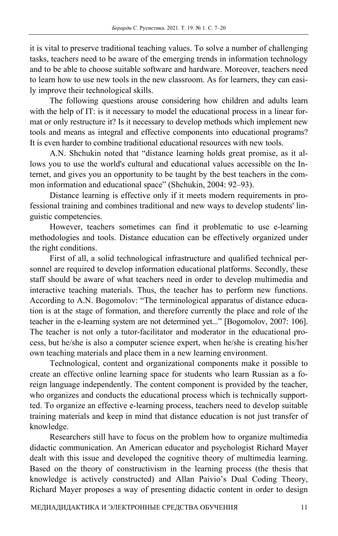it is vital to preserve traditional teaching values. To solve a number of challenging tasks, teachers need to be aware of the emerging trends in information technology and to be able to choose suitable software and hardware. Moreover, teachers need to learn how to use new tools in the new classroom. As for learners, they can easily improve their technological skills.

The following questions arouse considering how children and adults learn with the help of IT: is it necessary to model the educational process in a linear format or only restructure it? Is it necessary to develop methods which implement new tools and means as integral and effective components into educational programs? It is even harder to combine traditional educational resources with new tools.

A.N. Shchukin noted that "distance learning holds great promise, as it allows you to use the world's cultural and educational values accessible on the Internet, and gives you an opportunity to be taught by the best teachers in the common information and educational space" (Shchukin, 2004: 92–93).

Distance learning is effective only if it meets modern requirements in professional training and combines traditional and new ways to develop students' linguistic competencies.

However, teachers sometimes can find it problematic to use e-learning methodologies and tools. Distance education can be effectively organized under the right conditions.

First of all, a solid technological infrastructure and qualified technical personnel are required to develop information educational platforms. Secondly, these staff should be aware of what teachers need in order to develop multimedia and interactive teaching materials. Thus, the teacher has to perform new functions. According to A.N. Bogomolov: "The terminological apparatus of distance education is at the stage of formation, and therefore currently the place and role of the teacher in the e-learning system are not determined yet..." [Bogomolov, 2007: 106]. The teacher is not only a tutor-facilitator and moderator in the educational process, but he/she is also a computer science expert, when he/she is creating his/her own teaching materials and place them in a new learning environment.

Technological, content and organizational components make it possible to create an effective online learning space for students who learn Russian as a foreign language independently. The content component is provided by the teacher, who organizes and conducts the educational process which is technically supportted. To organize an effective e-learning process, teachers need to develop suitable training materials and keep in mind that distance education is not just transfer of knowledge.

Researchers still have to focus on the problem how to organize multimedia didactic communication. An American educator and psychologist Richard Mayer dealt with this issue and developed the cognitive theory of multimedia learning. Based on the theory of constructivism in the learning process (the thesis that knowledge is actively constructed) and Allan Paivio's Dual Coding Theory, Richard Mayer proposes a way of presenting didactic content in order to design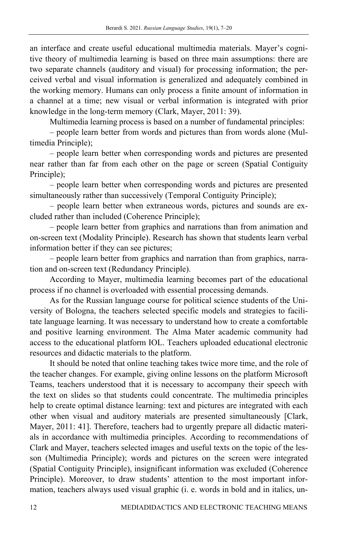an interface and create useful educational multimedia materials. Mayer's cognitive theory of multimedia learning is based on three main assumptions: there are two separate channels (auditory and visual) for processing information; the perceived verbal and visual information is generalized and adequately combined in the working memory. Humans can only process a finite amount of information in a channel at a time; new visual or verbal information is integrated with prior knowledge in the long-term memory (Clark, Mayer, 2011: 39).

Multimedia learning process is based on a number of fundamental principles:

– people learn better from words and pictures than from words alone (Multimedia Principle);

– people learn better when corresponding words and pictures are presented near rather than far from each other on the page or screen (Spatial Contiguity Principle);

– people learn better when corresponding words and pictures are presented simultaneously rather than successively (Temporal Contiguity Principle);

– people learn better when extraneous words, pictures and sounds are excluded rather than included (Coherence Principle);

– people learn better from graphics and narrations than from animation and on-screen text (Modality Principle). Research has shown that students learn verbal information better if they can see pictures;

– people learn better from graphics and narration than from graphics, narration and on-screen text (Redundancy Principle).

According to Mayer, multimedia learning becomes part of the educational process if no channel is overloaded with essential processing demands.

As for the Russian language course for political science students of the University of Bologna, the teachers selected specific models and strategies to facilitate language learning. It was necessary to understand how to create a comfortable and positive learning environment. The Alma Mater academic community had access to the educational platform IOL. Teachers uploaded educational electronic resources and didactic materials to the platform.

It should be noted that online teaching takes twice more time, and the role of the teacher changes. For example, giving online lessons on the platform Microsoft Teams, teachers understood that it is necessary to accompany their speech with the text on slides so that students could concentrate. The multimedia principles help to create optimal distance learning: text and pictures are integrated with each other when visual and auditory materials are presented simultaneously [Clark, Mayer, 2011: 41]. Therefore, teachers had to urgently prepare all didactic materials in accordance with multimedia principles. According to recommendations of Clark and Mayer, teachers selected images and useful texts on the topic of the lesson (Multimedia Principle); words and pictures on the screen were integrated (Spatial Contiguity Principle), insignificant information was excluded (Coherence Principle). Moreover, to draw students' attention to the most important information, teachers always used visual graphic (i. e. words in bold and in italics, un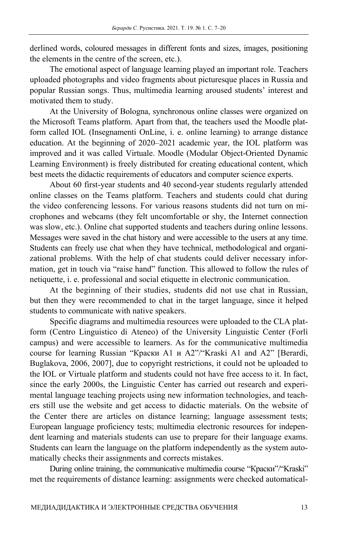derlined words, coloured messages in different fonts and sizes, images, positioning the elements in the centre of the screen, etc.).

The emotional aspect of language learning played an important role. Teachers uploaded photographs and video fragments about picturesque places in Russia and popular Russian songs. Thus, multimedia learning aroused students' interest and motivated them to study.

At the University of Bologna, synchronous online classes were organized on the Microsoft Teams platform. Apart from that, the teachers used the Moodle platform called IOL (Insegnamenti OnLine, i. e. online learning) to arrange distance education. At the beginning of 2020–2021 academic year, the IOL platform was improved and it was called Virtuale. Moodle (Modular Object-Oriented Dynamic Learning Environment) is freely distributed for creating educational content, which best meets the didactic requirements of educators and computer science experts.

About 60 first-year students and 40 second-year students regularly attended online classes on the Teams platform. Teachers and students could chat during the video conferencing lessons. For various reasons students did not turn on microphones and webcams (they felt uncomfortable or shy, the Internet connection was slow, etc.). Online chat supported students and teachers during online lessons. Messages were saved in the chat history and were accessible to the users at any time. Students can freely use chat when they have technical, methodological and organizational problems. With the help of chat students could deliver necessary information, get in touch via "raise hand" function. This allowed to follow the rules of netiquette, i. e. professional and social etiquette in electronic communication.

At the beginning of their studies, students did not use chat in Russian, but then they were recommended to chat in the target language, since it helped students to communicate with native speakers.

Specific diagrams and multimedia resources were uploaded to the CLA platform (Centro Linguistico di Ateneo) of the University Linguistic Center (Forlì campus) and were accessible to learners. As for the communicative multimedia course for learning Russian "Краски A1 и A2"/"Kraski A1 and A2" [Berardi, Buglakova, 2006, 2007], due to copyright restrictions, it could not be uploaded to the IOL or Virtuale platform and students could not have free access to it. In fact, since the early 2000s, the Linguistic Center has carried out research and experimental language teaching projects using new information technologies, and teachers still use the website and get access to didactic materials. On the website of the Center there are articles on distance learning; language assessment tests; European language proficiency tests; multimedia electronic resources for independent learning and materials students can use to prepare for their language exams. Students can learn the language on the platform independently as the system automatically checks their assignments and corrects mistakes.

During online training, the communicative multimedia course "Краски"/"Kraski" met the requirements of distance learning: assignments were checked automatical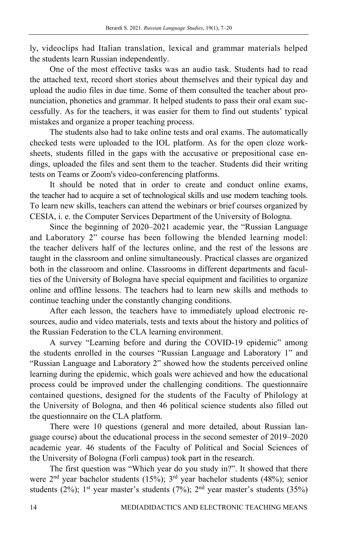ly, videoclips had Italian translation, lexical and grammar materials helped the students learn Russian independently.

One of the most effective tasks was an audio task. Students had to read the attached text, record short stories about themselves and their typical day and upload the audio files in due time. Some of them consulted the teacher about pronunciation, phonetics and grammar. It helped students to pass their oral exam successfully. As for the teachers, it was easier for them to find out students' typical mistakes and organize a proper teaching process.

The students also had to take online tests and oral exams. The automatically checked tests were uploaded to the IOL platform. As for the open cloze worksheets, students filled in the gaps with the accusative or prepositional case endings, uploaded the files and sent them to the teacher. Students did their writing tests on Teams or Zoom's video-conferencing platforms.

It should be noted that in order to create and conduct online exams, the teacher had to acquire a set of technological skills and use modern teaching tools. To learn new skills, teachers can attend the webinars or brief courses organized by CESIA, i. e. the Computer Services Department of the University of Bologna.

Since the beginning of 2020–2021 academic year, the "Russian Language and Laboratory 2" course has been following the blended learning model: the teacher delivers half of the lectures online, and the rest of the lessons are taught in the classroom and online simultaneously. Practical classes are organized both in the classroom and online. Classrooms in different departments and faculties of the University of Bologna have special equipment and facilities to organize online and offline lessons. The teachers had to learn new skills and methods to continue teaching under the constantly changing conditions.

After each lesson, the teachers have to immediately upload electronic resources, audio and video materials, tests and texts about the history and politics of the Russian Federation to the CLA learning environment.

A survey "Learning before and during the COVID-19 epidemic" among the students enrolled in the courses "Russian Language and Laboratory 1" and "Russian Language and Laboratory 2" showed how the students perceived online learning during the epidemic, which goals were achieved and how the educational process could be improved under the challenging conditions. The questionnaire contained questions, designed for the students of the Faculty of Philology at the University of Bologna, and then 46 political science students also filled out the questionnaire on the CLA platform.

There were 10 questions (general and more detailed, about Russian language course) about the educational process in the second semester of 2019–2020 academic year. 46 students of the Faculty of Political and Social Sciences of the University of Bologna (Forlì campus) took part in the research.

The first question was "Which year do you study in?". It showed that there were 2nd year bachelor students (15%); 3rd year bachelor students (48%); senior students (2%); 1<sup>st</sup> year master's students (7%); 2<sup>nd</sup> year master's students (35%)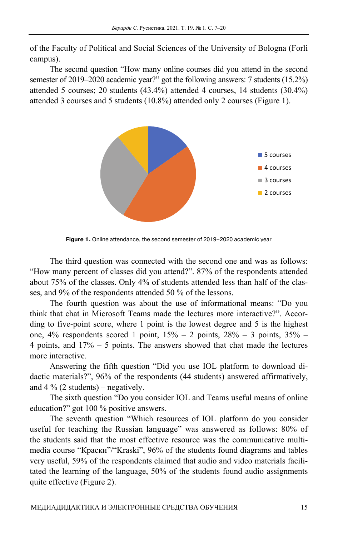of the Faculty of Political and Social Sciences of the University of Bologna (Forlì campus).

The second question "How many online courses did you attend in the second semester of 2019–2020 academic year?" got the following answers: 7 students (15.2%) attended 5 courses; 20 students (43.4%) attended 4 courses, 14 students (30.4%) attended 3 courses and 5 students (10.8%) attended only 2 courses (Figure 1).



**Figure 1.** Online attendance, the second semester of 2019–2020 academic year

The third question was connected with the second one and was as follows: "How many percent of classes did you attend?". 87% of the respondents attended about 75% of the classes. Only 4% of students attended less than half of the classes, and 9% of the respondents attended 50 % of the lessons.

The fourth question was about the use of informational means: "Do you think that chat in Microsoft Teams made the lectures more interactive?". According to five-point score, where 1 point is the lowest degree and 5 is the highest one,  $4\%$  respondents scored 1 point,  $15\% - 2$  points,  $28\% - 3$  points,  $35\% -$ 4 points, and 17% – 5 points. The answers showed that chat made the lectures more interactive.

Answering the fifth question "Did you use IOL platform to download didactic materials?", 96% of the respondents (44 students) answered affirmatively, and  $4\%$  (2 students) – negatively.

The sixth question "Do you consider IOL and Teams useful means of online education?" got 100 % positive answers.

The seventh question "Which resources of IOL platform do you consider useful for teaching the Russian language" was answered as follows: 80% of the students said that the most effective resource was the communicative multimedia course "Краски"/"Kraski", 96% of the students found diagrams and tables very useful, 59% of the respondents claimed that audio and video materials facilitated the learning of the language, 50% of the students found audio assignments quite effective (Figure 2).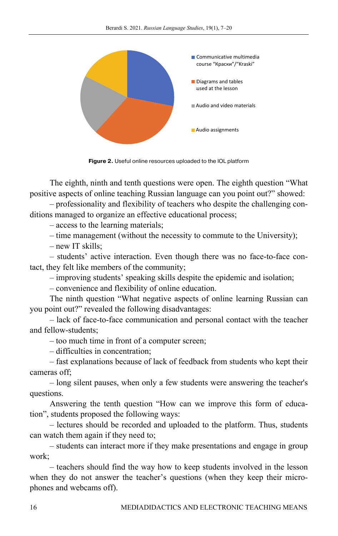

**Figure 2.** Useful online resources uploaded to the IOL platform

The eighth, ninth and tenth questions were open. The eighth question "What positive aspects of online teaching Russian language can you point out?" showed:

– professionality and flexibility of teachers who despite the challenging conditions managed to organize an effective educational process;

– access to the learning materials;

– time management (without the necessity to commute to the University);

– new IT skills;

– students' active interaction. Even though there was no face-to-face contact, they felt like members of the community;

– improving students' speaking skills despite the epidemic and isolation;

– convenience and flexibility of online education.

The ninth question "What negative aspects of online learning Russian can you point out?" revealed the following disadvantages:

– lack of face-to-face communication and personal contact with the teacher and fellow-students;

– too much time in front of a computer screen;

– difficulties in concentration;

– fast explanations because of lack of feedback from students who kept their cameras off;

– long silent pauses, when only a few students were answering the teacher's questions.

Answering the tenth question "How can we improve this form of education", students proposed the following ways:

– lectures should be recorded and uploaded to the platform. Thus, students can watch them again if they need to;

– students can interact more if they make presentations and engage in group work;

– teachers should find the way how to keep students involved in the lesson when they do not answer the teacher's questions (when they keep their microphones and webcams off).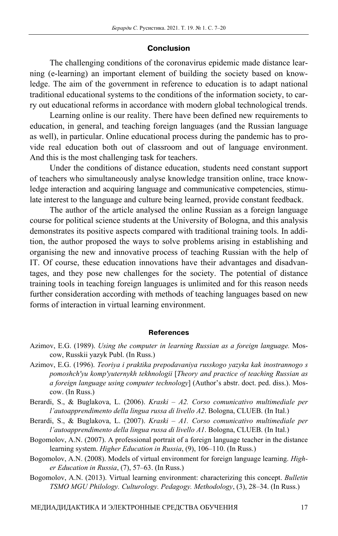### **Conclusion**

The challenging conditions of the coronavirus epidemic made distance learning (e-learning) an important element of building the society based on knowledge. The aim of the government in reference to education is to adapt national traditional educational systems to the conditions of the information society, to carry out educational reforms in accordance with modern global technological trends.

Learning online is our reality. There have been defined new requirements to education, in general, and teaching foreign languages (and the Russian language as well), in particular. Online educational process during the pandemic has to provide real education both out of classroom and out of language environment. And this is the most challenging task for teachers.

Under the conditions of distance education, students need constant support of teachers who simultaneously analyse knowledge transition online, trace knowledge interaction and acquiring language and communicative competencies, stimulate interest to the language and culture being learned, provide constant feedback.

The author of the article analysed the online Russian as a foreign language course for political science students at the University of Bologna, and this analysis demonstrates its positive aspects compared with traditional training tools. In addition, the author proposed the ways to solve problems arising in establishing and organising the new and innovative process of teaching Russian with the help of IT. Of course, these education innovations have their advantages and disadvantages, and they pose new challenges for the society. The potential of distance training tools in teaching foreign languages is unlimited and for this reason needs further consideration according with methods of teaching languages based on new forms of interaction in virtual learning environment.

#### **References**

- Azimov, E.G. (1996). *Teoriya i praktika prepodavaniya russkogo yazyka kak inostrannogo s pomoshch'yu komp'yuternykh tekhnologii* [*Theory and practice of teaching Russian as a foreign language using computer technology*] (Author's abstr. doct. ped. diss.). Moscow. (In Russ.)
- Berardi, S., & Buglakova, L. (2006). *Kraski A2. Corso comunicativo multimediale per l'autoapprendimento della lingua russa di livello A2*. Bologna, CLUEB. (In Ital.)
- Berardi, S., & Buglakova, L. (2007). *Kraski A1. Corso comunicativo multimediale per l'autoapprendimento della lingua russa di livello A1*. Bologna, CLUEB. (In Ital.)
- Bogomolov, A.N. (2007). A professional portrait of a foreign language teacher in the distance learning system. *Higher Education in Russia*, (9), 106–110. (In Russ.)
- Bogomolov, A.N. (2008). Models of virtual environment for foreign language learning. *Higher Education in Russia*, (7), 57–63. (In Russ.)
- Bogomolov, A.N. (2013). Virtual learning environment: characterizing this concept. *Bulletin TSMO MGU Philology. Culturology. Pedagogy. Methodology*, (3), 28–34. (In Russ.)

Azimov, E.G. (1989). *Using the computer in learning Russian as a foreign language.* Moscow, Russkii yazyk Publ. (In Russ.)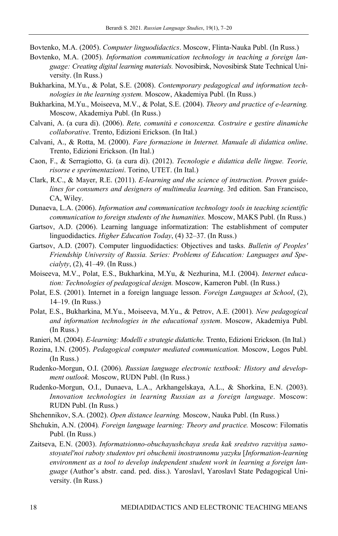Bovtenko, M.A. (2005). *Computer linguodidactics*. Moscow, Flinta-Nauka Publ. (In Russ.)

- Bovtenko, M.A. (2005). *Information communication technology in teaching a foreign language: Creating digital learning materials.* Novosibirsk, Novosibirsk State Technical University. (In Russ.)
- Bukharkina, M.Yu., & Polat, S.E. (2008). *Contemporary pedagogical and information technologies in the learning system.* Moscow, Akademiya Publ. (In Russ.)
- Bukharkina, M.Yu., Moiseeva, M.V., & Polat, S.E. (2004). *Theory and practice of e-learning.*  Moscow, Akademiya Publ. (In Russ.)
- Calvani, A. (a cura di). (2006). *Rete, comunità e conoscenza. Costruire e gestire dinamiche collaborative*. Trento, Edizioni Erickson. (In Ital.)
- Calvani, A., & Rotta, M. (2000). *Fare formazione in Internet. Manuale di didattica online*. Trento, Edizioni Erickson. (In Ital.)
- Caon, F., & Serragiotto, G. (a cura di). (2012). *Tecnologie e didattica delle lingue. Teorie, risorse e sperimentazioni*. Torino, UTET. (In Ital.)
- Clark, R.C., & Mayer, R.E. (2011). *E-learning and the science of instruction. Proven guidelines for consumers and designers of multimedia learning*. 3rd edition. San Francisco, CA, Wiley.
- Dunaeva, L.A. (2006). *Information and communication technology tools in teaching scientific communication to foreign students of the humanities.* Moscow, MAKS Publ. (In Russ.)
- Gartsov, A.D. (2006). Learning language informatization: The establishment of computer linguodidactics. *Higher Education Today*, (4) 32–37. (In Russ.)
- Gartsov, A.D. (2007). Computer linguodidactics: Objectives and tasks. *Bulletin of Peoples' Friendship University of Russia. Series: Problems of Education: Languages and Specialyty*, (2), 41–49. (In Russ.)
- Moiseeva, M.V., Polat, E.S., Bukharkina, M.Yu, & Nezhurina, M.I. (2004). *Internet education: Technologies of pedagogical design.* Moscow, Kameron Publ. (In Russ.)
- Polat, E.S. (2001). Internet in a foreign language lesson. *Foreign Languages at School*, (2), 14–19. (In Russ.)
- Polat, E.S., Bukharkina, M.Yu., Moiseeva, M.Yu., & Petrov, A.E. (2001). *New pedagogical and information technologies in the educational system*. Moscow, Akademiya Publ. (In Russ.)
- Ranieri, M. (2004). *E-learning: Modelli e strategie didattiche.* Trento, Edizioni Erickson. (In Ital.)
- Rozina, I.N. (2005). *Pedagogical computer mediated communication.* Moscow, Logos Publ. (In Russ.)
- Rudenko-Morgun, O.I. (2006). *Russian language electronic textbook: History and development outlook.* Moscow, RUDN Publ. (In Russ.)
- Rudenko-Morgun, O.I., Dunaeva, L.A., Arkhangelskaya, A.L., & Shorkina, E.N. (2003). *Innovation technologies in learning Russian as a foreign language*. Moscow: RUDN Publ. (In Russ.)
- Shchennikov, S.A. (2002). *Open distance learning.* Moscow, Nauka Publ. (In Russ.)
- Shchukin, A.N. (2004)*. Foreign language learning: Theory and practice.* Moscow: Filomatis Publ. (In Russ.)
- Zaitseva, E.N. (2003). *Informatsionno-obuchayushchaya sreda kak sredstvo razvitiya samostoyatel'noi raboty studentov pri obuchenii inostrannomu yazyku* [*Information-learning environment as a tool to develop independent student work in learning a foreign language* (Author's abstr. cand. ped. diss.). Yaroslavl, Yaroslavl State Pedagogical University. (In Russ.)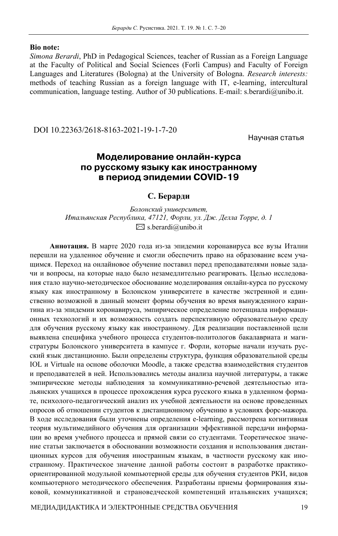#### **Bio note:**

*Simona Berardi*, PhD in Pedagogical Sciences, teacher of Russian as a Foreign Language at the Faculty of Political and Social Sciences (Forlì Campus) and Faculty of Foreign Languages and Literatures (Bologna) at the University of Bologna. *Research interests:* methods of teaching Russian as a foreign language with IT, e-learning, intercultural communication, language testing. Author of 30 publications. E-mail: s.berardi@unibo.it.

DOI 10.22363/2618-8163-2021-19-1-7-20

Научная статья

# **Моделирование онлайн-курса по русскому языку как иностранному в период эпидемии COVID-19**

## **С. Берарди**

*Болонский университет, Итальянская Республика, 47121, Форли, ул. Дж. Делла Торре, д. 1*   $\boxtimes$  s.berardi@unibo.it

**Аннотация.** В марте 2020 года из-за эпидемии коронавируса все вузы Италии перешли на удаленное обучение и смогли обеспечить право на образование всем учащимся. Переход на онлайновое обучение поставил перед преподавателями новые задачи и вопросы, на которые надо было незамедлительно реагировать. Целью исследования стало научно-методическое обоснование моделирования онлайн-курса по русскому языку как иностранному в Болонском университете в качестве экстренной и единственно возможной в данный момент формы обучения во время вынужденного карантина из-за эпидемии коронавируса, эмпирическое определение потенциала информационных технологий и их возможность создать перспективную образовательную среду для обучения русскому языку как иностранному. Для реализации поставленной цели выявлена специфика учебного процесса студентов-политологов бакалавриата и магистратуры Болонского университета в кампусе г. Форли, которые начали изучать русский язык дистанционно. Были определены структура, функция образовательной среды IOL и Virtuale на основе оболочки Moodle, а также средства взаимодействия студентов и преподавателей в ней. Использовались методы анализа научной литературы, а также эмпирические методы наблюдения за коммуникативно-речевой деятельностью итальянских учащихся в процессе прохождения курса русского языка в удаленном формате, психолого-педагогический анализ их учебной деятельности на основе проведенных опросов об отношении студентов к дистанционному обучению в условиях форс-мажора. В ходе исследования были уточнены определения e-learning, рассмотрена когнитивная теория мультимедийного обучения для организации эффективной передачи информации во время учебного процесса и прямой связи со студентами. Теоретическое значение статьи заключается в обосновании возможности создания и использования дистанционных курсов для обучения иностранным языкам, в частности русскому как иностранному. Практическое значение данной работы состоит в разработке практикоориентированной модульной компьютерной среды для обучения студентов РКИ, видов компьютерного методического обеспечения. Разработаны приемы формирования языковой, коммуникативной и страноведческой компетенций итальянских учащихся;